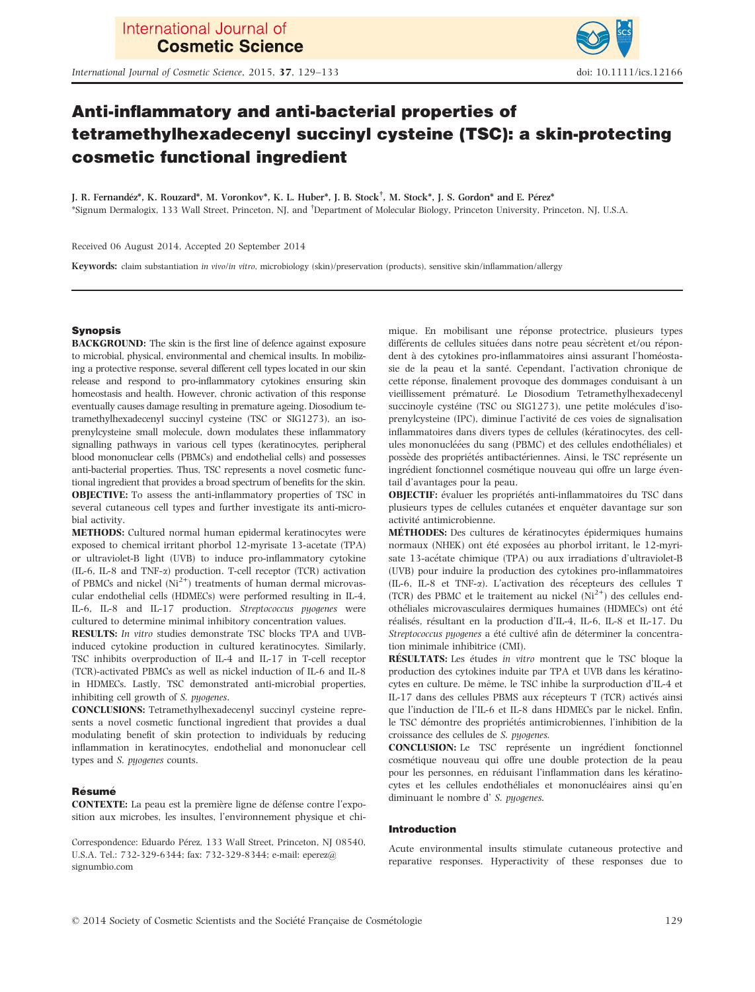International Journal of Cosmetic Science, 2015, 37, 129–133 doi: 10.1111/ics.12166



# Anti-inflammatory and anti-bacterial properties of tetramethylhexadecenyl succinyl cysteine (TSC): a skin-protecting cosmetic functional ingredient

J. R. Fernandez\*, K. Rouzard\*, M. Voronkov\*, K. L. Huber\*, J. B. Stock† , M. Stock\*, J. S. Gordon\* and E. Perez\* \*Signum Dermalogix, 133 Wall Street, Princeton, NJ, and † Department of Molecular Biology, Princeton University, Princeton, NJ, U.S.A.

Received 06 August 2014, Accepted 20 September 2014

Keywords: claim substantiation in vivo/in vitro, microbiology (skin)/preservation (products), sensitive skin/inflammation/allergy

# Synopsis

BACKGROUND: The skin is the first line of defence against exposure to microbial, physical, environmental and chemical insults. In mobilizing a protective response, several different cell types located in our skin release and respond to pro-inflammatory cytokines ensuring skin homeostasis and health. However, chronic activation of this response eventually causes damage resulting in premature ageing. Diosodium tetramethylhexadecenyl succinyl cysteine (TSC or SIG1273), an isoprenylcysteine small molecule, down modulates these inflammatory signalling pathways in various cell types (keratinocytes, peripheral blood mononuclear cells (PBMCs) and endothelial cells) and possesses anti-bacterial properties. Thus, TSC represents a novel cosmetic functional ingredient that provides a broad spectrum of benefits for the skin. OBJECTIVE: To assess the anti-inflammatory properties of TSC in several cutaneous cell types and further investigate its anti-microbial activity.

METHODS: Cultured normal human epidermal keratinocytes were exposed to chemical irritant phorbol 12-myrisate 13-acetate (TPA) or ultraviolet-B light (UVB) to induce pro-inflammatory cytokine (IL-6, IL-8 and TNF- $\alpha$ ) production. T-cell receptor (TCR) activation of PBMCs and nickel  $(Ni^{2+})$  treatments of human dermal microvascular endothelial cells (HDMECs) were performed resulting in IL-4, IL-6, IL-8 and IL-17 production. Streptococcus pyogenes were cultured to determine minimal inhibitory concentration values.

RESULTS: In vitro studies demonstrate TSC blocks TPA and UVBinduced cytokine production in cultured keratinocytes. Similarly, TSC inhibits overproduction of IL-4 and IL-17 in T-cell receptor (TCR)-activated PBMCs as well as nickel induction of IL-6 and IL-8 in HDMECs. Lastly, TSC demonstrated anti-microbial properties, inhibiting cell growth of S. pyogenes.

CONCLUSIONS: Tetramethylhexadecenyl succinyl cysteine represents a novel cosmetic functional ingredient that provides a dual modulating benefit of skin protection to individuals by reducing inflammation in keratinocytes, endothelial and mononuclear cell types and S. pyogenes counts.

# Résumé

CONTEXTE: La peau est la premiere ligne de defense contre l'exposition aux microbes, les insultes, l'environnement physique et chi-

Correspondence: Eduardo Pérez, 133 Wall Street, Princeton, NJ 08540, U.S.A. Tel.: 732-329-6344; fax: 732-329-8344; e-mail: eperez@ signumbio.com

mique. En mobilisant une réponse protectrice, plusieurs types différents de cellules situées dans notre peau sécrètent et/ou répondent à des cytokines pro-inflammatoires ainsi assurant l'homéostasie de la peau et la santé. Cependant, l'activation chronique de cette réponse, finalement provoque des dommages conduisant à un vieillissement prématuré. Le Diosodium Tetramethylhexadecenyl succinoyle cystéine (TSC ou SIG1273), une petite molécules d'isoprenylcysteine (IPC), diminue l'activite de ces voies de signalisation inflammatoires dans divers types de cellules (kératinocytes, des cellules mononucléées du sang (PBMC) et des cellules endothéliales) et possède des propriétés antibactériennes. Ainsi, le TSC représente un ingrédient fonctionnel cosmétique nouveau qui offre un large éventail d'avantages pour la peau.

OBJECTIF: évaluer les propriétés anti-inflammatoires du TSC dans plusieurs types de cellules cutanées et enquêter davantage sur son activité antimicrobienne

METHODES: Des cultures de keratinocytes epidermiques humains normaux (NHEK) ont été exposées au phorbol irritant, le 12-myrisate 13-acetate chimique (TPA) ou aux irradiations d'ultraviolet-B (UVB) pour induire la production des cytokines pro-inflammatoires (IL-6, IL-8 et TNF-a). L'activation des recepteurs des cellules T (TCR) des PBMC et le traitement au nickel  $(Ni^{2+})$  des cellules endotheliales microvasculaires dermiques humaines (HDMECs) ont ete réalisés, résultant en la production d'IL-4, IL-6, IL-8 et IL-17. Du Streptococcus pyogenes a été cultivé afin de déterminer la concentration minimale inhibitrice (CMI).

RÉSULTATS: Les études in vitro montrent que le TSC bloque la production des cytokines induite par TPA et UVB dans les keratinocytes en culture. De m^eme, le TSC inhibe la surproduction d'IL-4 et IL-17 dans des cellules PBMS aux recepteurs T (TCR) actives ainsi que l'induction de l'IL-6 et IL-8 dans HDMECs par le nickel. Enfin, le TSC démontre des propriétés antimicrobiennes, l'inhibition de la croissance des cellules de S. pyogenes.

CONCLUSION: Le TSC represente un ingredient fonctionnel cosmetique nouveau qui offre une double protection de la peau pour les personnes, en reduisant l'inflammation dans les keratinocytes et les cellules endothéliales et mononucléaires ainsi qu'en diminuant le nombre d' S. pyogenes.

# Introduction

Acute environmental insults stimulate cutaneous protective and reparative responses. Hyperactivity of these responses due to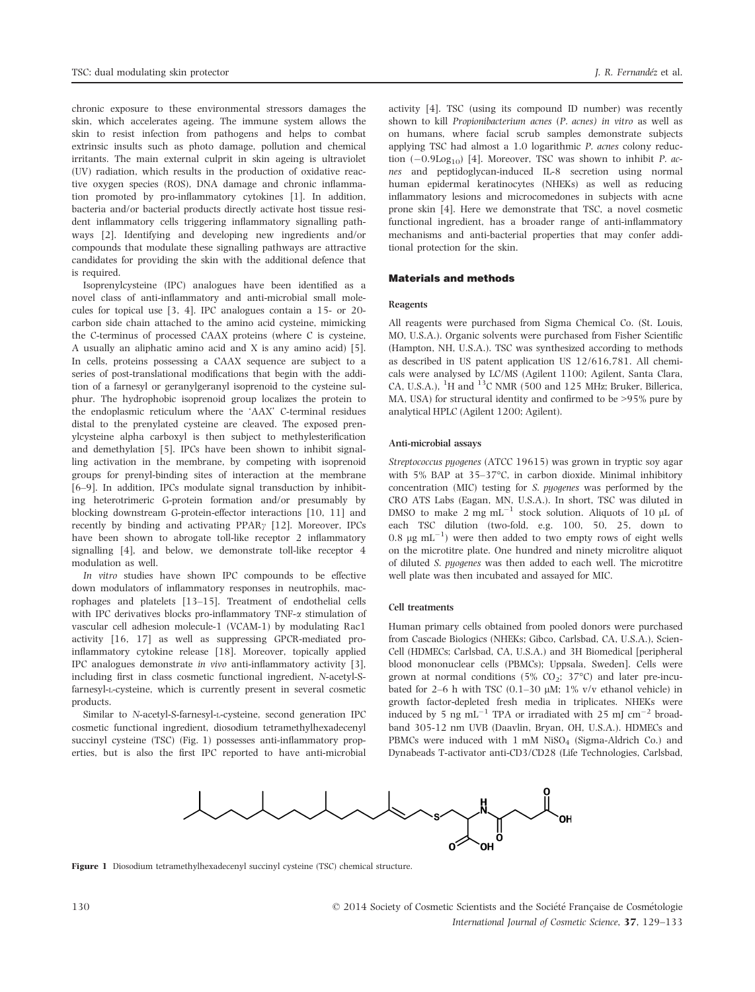chronic exposure to these environmental stressors damages the skin, which accelerates ageing. The immune system allows the skin to resist infection from pathogens and helps to combat extrinsic insults such as photo damage, pollution and chemical irritants. The main external culprit in skin ageing is ultraviolet (UV) radiation, which results in the production of oxidative reactive oxygen species (ROS), DNA damage and chronic inflammation promoted by pro-inflammatory cytokines [1]. In addition, bacteria and/or bacterial products directly activate host tissue resident inflammatory cells triggering inflammatory signalling pathways [2]. Identifying and developing new ingredients and/or compounds that modulate these signalling pathways are attractive candidates for providing the skin with the additional defence that is required.

Isoprenylcysteine (IPC) analogues have been identified as a novel class of anti-inflammatory and anti-microbial small molecules for topical use [3, 4]. IPC analogues contain a 15- or 20 carbon side chain attached to the amino acid cysteine, mimicking the C-terminus of processed CAAX proteins (where C is cysteine, A usually an aliphatic amino acid and X is any amino acid) [5]. In cells, proteins possessing a CAAX sequence are subject to a series of post-translational modifications that begin with the addition of a farnesyl or geranylgeranyl isoprenoid to the cysteine sulphur. The hydrophobic isoprenoid group localizes the protein to the endoplasmic reticulum where the 'AAX' C-terminal residues distal to the prenylated cysteine are cleaved. The exposed prenylcysteine alpha carboxyl is then subject to methylesterification and demethylation [5]. IPCs have been shown to inhibit signalling activation in the membrane, by competing with isoprenoid groups for prenyl-binding sites of interaction at the membrane [6–9]. In addition, IPCs modulate signal transduction by inhibiting heterotrimeric G-protein formation and/or presumably by blocking downstream G-protein-effector interactions [10, 11] and recently by binding and activating  $PPAR\gamma$  [12]. Moreover, IPCs have been shown to abrogate toll-like receptor 2 inflammatory signalling [4], and below, we demonstrate toll-like receptor 4 modulation as well.

In vitro studies have shown IPC compounds to be effective down modulators of inflammatory responses in neutrophils, macrophages and platelets [13–15]. Treatment of endothelial cells with IPC derivatives blocks pro-inflammatory TNF- $\alpha$  stimulation of vascular cell adhesion molecule-1 (VCAM-1) by modulating Rac1 activity [16, 17] as well as suppressing GPCR-mediated proinflammatory cytokine release [18]. Moreover, topically applied IPC analogues demonstrate in vivo anti-inflammatory activity [3], including first in class cosmetic functional ingredient, N-acetyl-Sfarnesyl-L-cysteine, which is currently present in several cosmetic products.

Similar to N-acetyl-S-farnesyl-L-cysteine, second generation IPC cosmetic functional ingredient, diosodium tetramethylhexadecenyl succinyl cysteine (TSC) (Fig. 1) possesses anti-inflammatory properties, but is also the first IPC reported to have anti-microbial

activity [4]. TSC (using its compound ID number) was recently shown to kill Propionibacterium acnes (P. acnes) in vitro as well as on humans, where facial scrub samples demonstrate subjects applying TSC had almost a 1.0 logarithmic P. acnes colony reduction  $(-0.9 \text{Log}_{10})$  [4]. Moreover, TSC was shown to inhibit P. acnes and peptidoglycan-induced IL-8 secretion using normal human epidermal keratinocytes (NHEKs) as well as reducing inflammatory lesions and microcomedones in subjects with acne prone skin [4]. Here we demonstrate that TSC, a novel cosmetic functional ingredient, has a broader range of anti-inflammatory mechanisms and anti-bacterial properties that may confer additional protection for the skin.

# Materials and methods

#### Reagents

All reagents were purchased from Sigma Chemical Co. (St. Louis, MO, U.S.A.). Organic solvents were purchased from Fisher Scientific (Hampton, NH, U.S.A.). TSC was synthesized according to methods as described in US patent application US 12/616,781. All chemicals were analysed by LC/MS (Agilent 1100; Agilent, Santa Clara, CA, U.S.A.), <sup>1</sup>H and <sup>13</sup>C NMR (500 and 125 MHz; Bruker, Billerica, MA, USA) for structural identity and confirmed to be >95% pure by analytical HPLC (Agilent 1200; Agilent).

# Anti-microbial assays

Streptococcus pyogenes (ATCC 19615) was grown in tryptic soy agar with 5% BAP at 35–37°C, in carbon dioxide. Minimal inhibitory concentration (MIC) testing for S. pyogenes was performed by the CRO ATS Labs (Eagan, MN, U.S.A.). In short, TSC was diluted in DMSO to make 2 mg  $mL^{-1}$  stock solution. Aliquots of 10  $\mu$ L of each TSC dilution (two-fold, e.g. 100, 50, 25, down to  $0.8 \mu g \text{ mL}^{-1}$ ) were then added to two empty rows of eight wells on the microtitre plate. One hundred and ninety microlitre aliquot of diluted S. pyogenes was then added to each well. The microtitre well plate was then incubated and assayed for MIC.

#### Cell treatments

Human primary cells obtained from pooled donors were purchased from Cascade Biologics (NHEKs; Gibco, Carlsbad, CA, U.S.A.), Scien-Cell (HDMECs; Carlsbad, CA, U.S.A.) and 3H Biomedical [peripheral blood mononuclear cells (PBMCs); Uppsala, Sweden]. Cells were grown at normal conditions (5%  $CO_2$ ; 37°C) and later pre-incubated for 2–6 h with TSC (0.1–30  $\mu$ M; 1% v/v ethanol vehicle) in growth factor-depleted fresh media in triplicates. NHEKs were induced by 5 ng  $mL^{-1}$  TPA or irradiated with 25 mJ cm<sup>-2</sup> broadband 305-12 nm UVB (Daavlin, Bryan, OH, U.S.A.). HDMECs and PBMCs were induced with  $1 \text{ mM NiSO}_4$  (Sigma-Aldrich Co.) and Dynabeads T-activator anti-CD3/CD28 (Life Technologies, Carlsbad,



Figure 1 Diosodium tetramethylhexadecenyl succinyl cysteine (TSC) chemical structure.

130 © 2014 Society of Cosmetic Scientists and the Societe Francaise de Cosmetologie International Journal of Cosmetic Science, 37, 129–133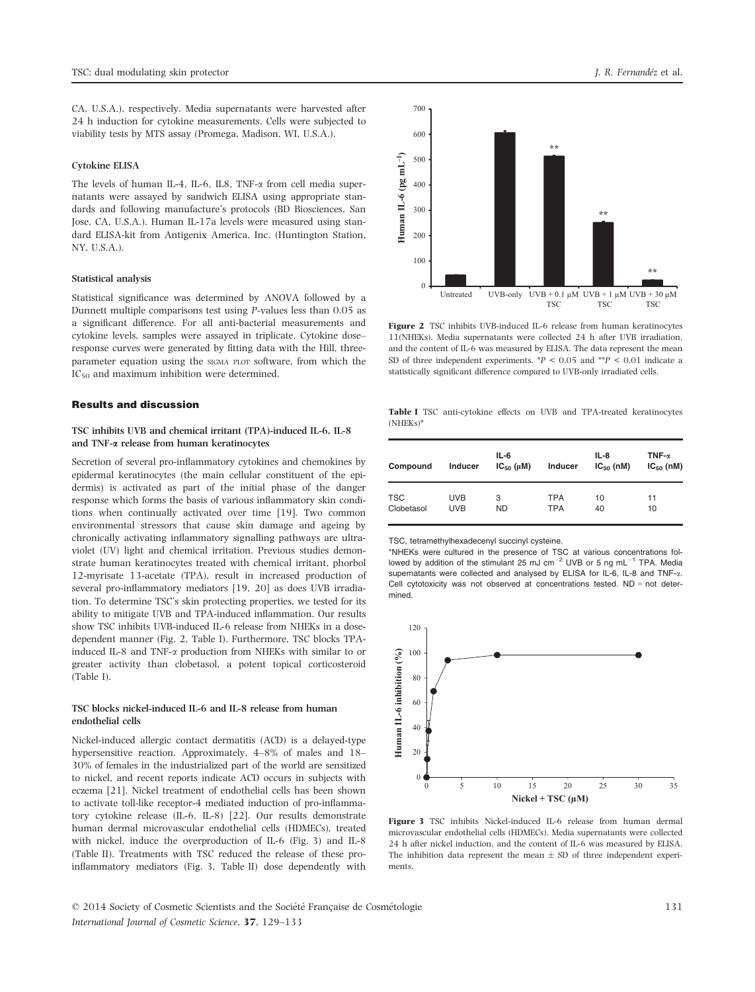CA, U.S.A.), respectively. Media supernatants were harvested after 24 h induction for cytokine measurements. Cells were subjected to viability tests by MTS assay (Promega, Madison, WI, U.S.A.).

# Cytokine ELISA

The levels of human IL-4, IL-6, IL8, TNF-a from cell media supernatants were assayed by sandwich ELISA using appropriate standards and following manufacture's protocols (BD Biosciences, San Jose, CA, U.S.A.). Human IL-17a levels were measured using standard ELISA-kit from Antigenix America, Inc. (Huntington Station, NY, U.S.A.).

#### Statistical analysis

Statistical significance was determined by ANOVA followed by a Dunnett multiple comparisons test using P-values less than 0.05 as a significant difference. For all anti-bacterial measurements and cytokine levels, samples were assayed in triplicate. Cytokine dose– response curves were generated by fitting data with the Hill, threeparameter equation using the SIGMA PLOT software, from which the  $IC_{50}$  and maximum inhibition were determined.

# Results and discussion

# TSC inhibits UVB and chemical irritant (TPA)-induced IL-6, IL-8 and TNF-a release from human keratinocytes

Secretion of several pro-inflammatory cytokines and chemokines by epidermal keratinocytes (the main cellular constituent of the epidermis) is activated as part of the initial phase of the danger response which forms the basis of various inflammatory skin conditions when continually activated over time [19]. Two common environmental stressors that cause skin damage and ageing by chronically activating inflammatory signalling pathways are ultraviolet (UV) light and chemical irritation. Previous studies demonstrate human keratinocytes treated with chemical irritant, phorbol 12-myrisate 13-acetate (TPA), result in increased production of several pro-inflammatory mediators [19, 20] as does UVB irradiation. To determine TSC's skin protecting properties, we tested for its ability to mitigate UVB and TPA-induced inflammation. Our results show TSC inhibits UVB-induced IL-6 release from NHEKs in a dosedependent manner (Fig. 2, Table I). Furthermore, TSC blocks TPAinduced IL-8 and TNF-a production from NHEKs with similar to or greater activity than clobetasol, a potent topical corticosteroid (Table I).

# TSC blocks nickel-induced IL-6 and IL-8 release from human endothelial cells

Nickel-induced allergic contact dermatitis (ACD) is a delayed-type hypersensitive reaction. Approximately, 4–8% of males and 18– 30% of females in the industrialized part of the world are sensitized to nickel, and recent reports indicate ACD occurs in subjects with eczema [21]. Nickel treatment of endothelial cells has been shown to activate toll-like receptor-4 mediated induction of pro-inflammatory cytokine release (IL-6, IL-8) [22]. Our results demonstrate human dermal microvascular endothelial cells (HDMECs), treated with nickel, induce the overproduction of IL-6 (Fig. 3) and IL-8 (Table II). Treatments with TSC reduced the release of these proinflammatory mediators (Fig. 3, Table II) dose dependently with



Figure 2 TSC inhibits UVB-induced IL-6 release from human keratinocytes 11(NHEKs). Media supernatants were collected 24 h after UVB irradiation, and the content of IL-6 was measured by ELISA. The data represent the mean SD of three independent experiments.  $*P < 0.05$  and  $*P < 0.01$  indicate a statistically significant difference compared to UVB-only irradiated cells.

Table I TSC anti-cytokine effects on UVB and TPA-treated keratinocytes (NHEKs)\*

| Compound   | Inducer    | $IL-6$<br>$IC_{50}(\mu M)$ | Inducer    | IL-8<br>$IC_{50}$ (nM) | TNF- $\alpha$<br>$IC_{50}$ (nM) |
|------------|------------|----------------------------|------------|------------------------|---------------------------------|
| <b>TSC</b> | <b>UVB</b> | 3                          | <b>TPA</b> | 10                     | 11                              |
| Clobetasol | <b>UVB</b> | <b>ND</b>                  | <b>TPA</b> | 40                     | 10                              |

TSC, tetramethylhexadecenyl succinyl cysteine.

\*NHEKs were cultured in the presence of TSC at various concentrations followed by addition of the stimulant 25 mJ cm<sup>-2</sup> UVB or 5 ng mL<sup>-1</sup> TPA. Media supernatants were collected and analysed by ELISA for IL-6, IL-8 and TNF- $\alpha$ . Cell cytotoxicity was not observed at concentrations tested.  $ND = not$  determined.



Figure 3 TSC inhibits Nickel-induced IL-6 release from human dermal microvascular endothelial cells (HDMECs). Media supernatants were collected 24 h after nickel induction, and the content of IL-6 was measured by ELISA. The inhibition data represent the mean  $\pm$  SD of three independent experiments.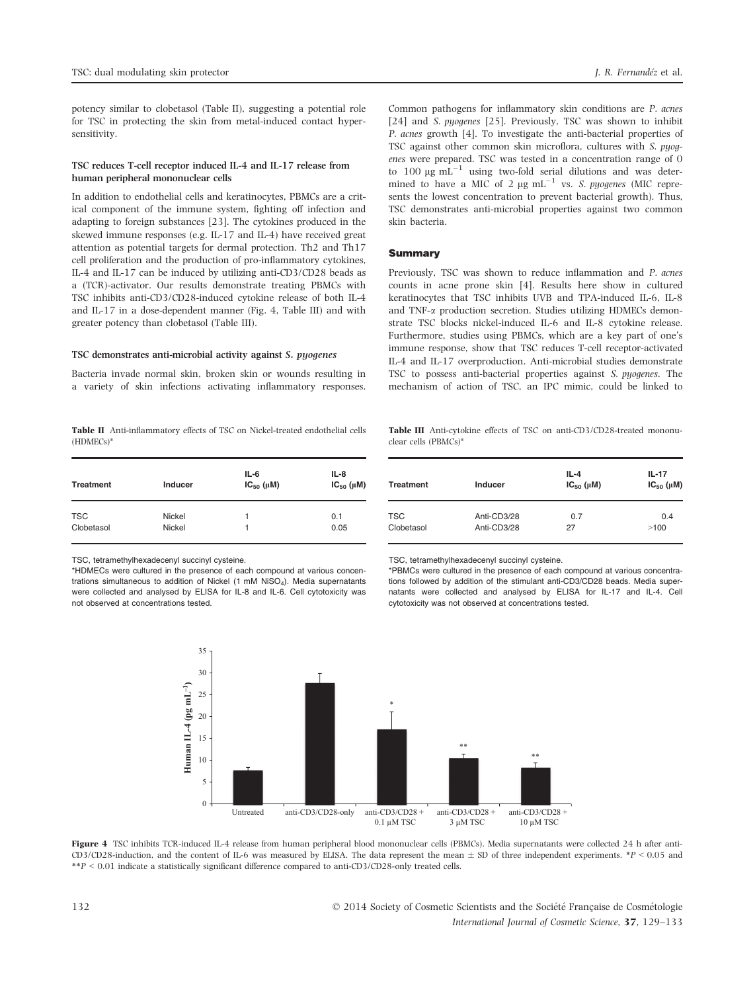potency similar to clobetasol (Table II), suggesting a potential role for TSC in protecting the skin from metal-induced contact hypersensitivity.

# TSC reduces T-cell receptor induced IL-4 and IL-17 release from human peripheral mononuclear cells

In addition to endothelial cells and keratinocytes, PBMCs are a critical component of the immune system, fighting off infection and adapting to foreign substances [23]. The cytokines produced in the skewed immune responses (e.g. IL-17 and IL-4) have received great attention as potential targets for dermal protection. Th2 and Th17 cell proliferation and the production of pro-inflammatory cytokines, IL-4 and IL-17 can be induced by utilizing anti-CD3/CD28 beads as a (TCR)-activator. Our results demonstrate treating PBMCs with TSC inhibits anti-CD3/CD28-induced cytokine release of both IL-4 and IL-17 in a dose-dependent manner (Fig. 4, Table III) and with greater potency than clobetasol (Table III).

# TSC demonstrates anti-microbial activity against S. pyogenes

Bacteria invade normal skin, broken skin or wounds resulting in a variety of skin infections activating inflammatory responses.

Table II Anti-inflammatory effects of TSC on Nickel-treated endothelial cells (HDMECs)\*

| <b>Treatment</b> | Inducer | $IL-6$<br>$IC_{50}(\mu M)$ | $IL-8$<br>$IC_{50}(\mu M)$ |
|------------------|---------|----------------------------|----------------------------|
| <b>TSC</b>       | Nickel  | 1                          | 0.1                        |
| Clobetasol       | Nickel  | 1                          | 0.05                       |

TSC, tetramethylhexadecenyl succinyl cysteine.

\*HDMECs were cultured in the presence of each compound at various concentrations simultaneous to addition of Nickel (1 mM NiSO<sub>4</sub>). Media supernatants were collected and analysed by ELISA for IL-8 and IL-6. Cell cytotoxicity was not observed at concentrations tested.

Common pathogens for inflammatory skin conditions are P. acnes [24] and *S. pyogenes* [25]. Previously, TSC was shown to inhibit P. acnes growth [4]. To investigate the anti-bacterial properties of TSC against other common skin microflora, cultures with S. pyogenes were prepared. TSC was tested in a concentration range of 0 to 100  $\mu$ g mL<sup>-1</sup> using two-fold serial dilutions and was determined to have a MIC of 2  $\mu$ g mL<sup>-1</sup> vs. S. pyogenes (MIC represents the lowest concentration to prevent bacterial growth). Thus, TSC demonstrates anti-microbial properties against two common skin bacteria.

#### Summary

Previously, TSC was shown to reduce inflammation and P. acnes counts in acne prone skin [4]. Results here show in cultured keratinocytes that TSC inhibits UVB and TPA-induced IL-6, IL-8 and TNF- $\alpha$  production secretion. Studies utilizing HDMECs demonstrate TSC blocks nickel-induced IL-6 and IL-8 cytokine release. Furthermore, studies using PBMCs, which are a key part of one's immune response, show that TSC reduces T-cell receptor-activated IL-4 and IL-17 overproduction. Anti-microbial studies demonstrate TSC to possess anti-bacterial properties against S. pyogenes. The mechanism of action of TSC, an IPC mimic, could be linked to

Table III Anti-cytokine effects of TSC on anti-CD3/CD28-treated mononuclear cells (PBMCs)\*

| <b>Treatment</b> | Inducer     | $IL-4$<br>$IC_{50}$ ( $\mu$ M) | $IL-17$<br>$IC_{50}(\mu M)$ |
|------------------|-------------|--------------------------------|-----------------------------|
| <b>TSC</b>       | Anti-CD3/28 | 0.7                            | 0.4                         |
| Clobetasol       | Anti-CD3/28 | 27                             | >100                        |

TSC, tetramethylhexadecenyl succinyl cysteine.

\*PBMCs were cultured in the presence of each compound at various concentrations followed by addition of the stimulant anti-CD3/CD28 beads. Media supernatants were collected and analysed by ELISA for IL-17 and IL-4. Cell cytotoxicity was not observed at concentrations tested.



Figure 4 TSC inhibits TCR-induced IL-4 release from human peripheral blood mononuclear cells (PBMCs). Media supernatants were collected 24 h after anti-CD3/CD28-induction, and the content of IL-6 was measured by ELISA. The data represent the mean  $\pm$  SD of three independent experiments. \*P < 0.05 and \*\*P < 0.01 indicate a statistically significant difference compared to anti-CD3/CD28-only treated cells.

132 © 2014 Society of Cosmetic Scientists and the Societe Francaise de Cosmetologie International Journal of Cosmetic Science, 37, 129–133